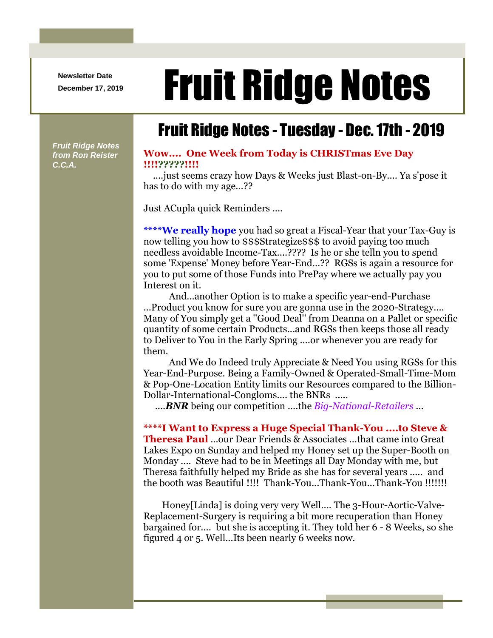**Newsletter Date**

# Newsletter Date **Fruit Ridge Notes**

## Fruit Ridge Notes - Tuesday - Dec. 17th - 2019

*Fruit Ridge Notes from Ron Reister C.C.A.*

#### **Wow.... One Week from Today is CHRISTmas Eve Day !!!!?????!!!!**

....just seems crazy how Days & Weeks just Blast-on-By.... Ya s'pose it has to do with my age...??

Just ACupla quick Reminders ....

**\*\*\*\*We really hope** you had so great a Fiscal-Year that your Tax-Guy is now telling you how to \$\$\$Strategize\$\$\$ to avoid paying too much needless avoidable Income-Tax....???? Is he or she telln you to spend some 'Expense' Money before Year-End...?? RGSs is again a resource for you to put some of those Funds into PrePay where we actually pay you Interest on it.

And...another Option is to make a specific year-end-Purchase ...Product you know for sure you are gonna use in the 2020-Strategy.... Many of You simply get a ''Good Deal'' from Deanna on a Pallet or specific quantity of some certain Products...and RGSs then keeps those all ready to Deliver to You in the Early Spring ....or whenever you are ready for them.

And We do Indeed truly Appreciate & Need You using RGSs for this Year-End-Purpose. Being a Family-Owned & Operated-Small-Time-Mom & Pop-One-Location Entity limits our Resources compared to the Billion-Dollar-International-Congloms.... the BNRs .....

....*BNR* being our competition ....the *Big-National-Retailers* ...

#### **\*\*\*\*I Want to Express a Huge Special Thank-You ....to Steve &**

**Theresa Paul** ...our Dear Friends & Associates ...that came into Great Lakes Expo on Sunday and helped my Honey set up the Super-Booth on Monday .... Steve had to be in Meetings all Day Monday with me, but Theresa faithfully helped my Bride as she has for several years ..... and the booth was Beautiful !!!! Thank-You...Thank-You...Thank-You !!!!!!!

Honey[Linda] is doing very very Well.... The 3-Hour-Aortic-Valve-Replacement-Surgery is requiring a bit more recuperation than Honey bargained for.... but she is accepting it. They told her 6 - 8 Weeks, so she figured 4 or 5. Well...Its been nearly 6 weeks now.